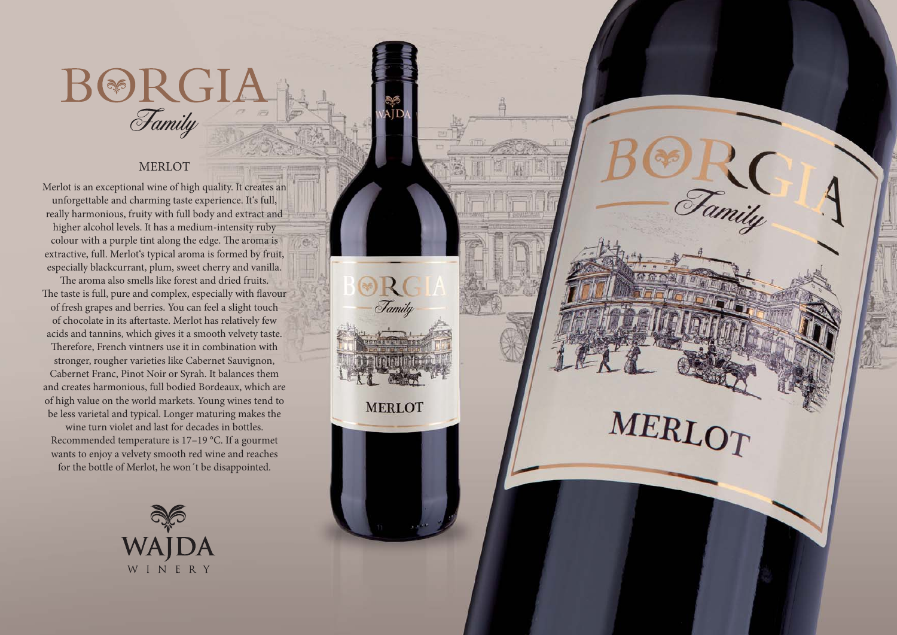## $\text{B@RGI} \ \textit{Family}$

Tamily

MERLOT

## MERLOT

Merlot is an exceptional wine of high quality. It creates an unforgettable and charming taste experience. It's full, really harmonious, fruity with full body and extract and higher alcohol levels. It has a medium-intensity ruby colour with a purple tint along the edge. The aroma is extractive, full. Merlot's typical aroma is formed by fruit, especially blackcurrant, plum, sweet cherry and vanilla. The aroma also smells like forest and dried fruits. The taste is full, pure and complex, especially with flavour of fresh grapes and berries. You can feel a slight touch of chocolate in its aftertaste. Merlot has relatively few acids and tannins, which gives it a smooth velvety taste. Therefore, French vintners use it in combination with stronger, rougher varieties like Cabernet Sauvignon, Cabernet Franc, Pinot Noir or Syrah. It balances them and creates harmonious, full bodied Bordeaux, which are of high value on the world markets. Young wines tend to be less varietal and typical. Longer maturing makes the wine turn violet and last for decades in bottles. Recommended temperature is 17–19 °C. If a gourmet wants to enjoy a velvety smooth red wine and reaches for the bottle of Merlot, he won´t be disappointed.

Family

**MERLOT**